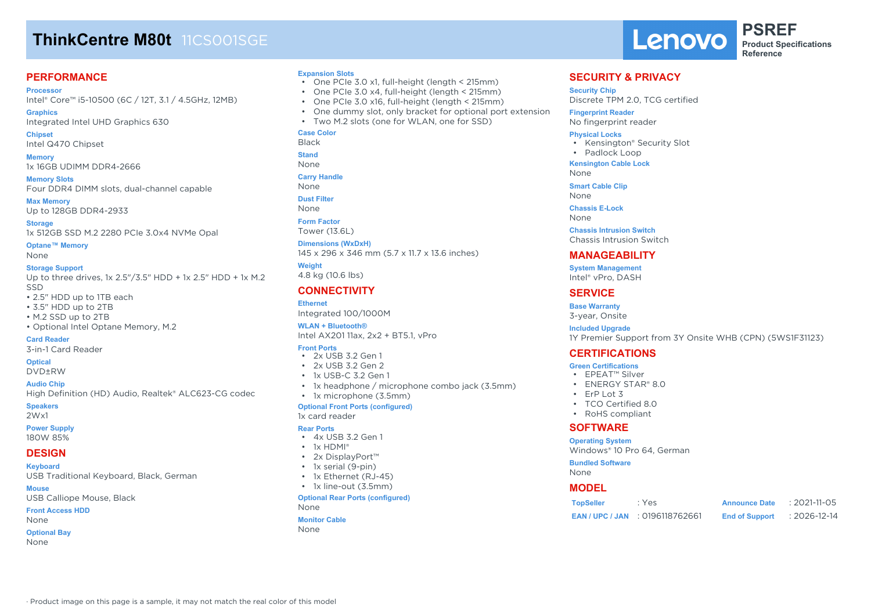# **ThinkCentre M80t** 11CS001SGE

# **PERFORMANCE**

**Processor** Intel® Core™ i5-10500 (6C / 12T, 3.1 / 4.5GHz, 12MB)

**Graphics** Integrated Intel UHD Graphics 630

**Chipset** Intel Q470 Chipset

**Memory** 1x 16GB UDIMM DDR4-2666

**Memory Slots** Four DDR4 DIMM slots, dual-channel capable

**Max Memory** Up to 128GB DDR4-2933

**Storage** 1x 512GB SSD M.2 2280 PCIe 3.0x4 NVMe Opal

**Optane™ Memory** None

#### **Storage Support**

Up to three drives, 1x 2.5"/3.5" HDD + 1x 2.5" HDD + 1x M.2 SSD

- 2.5" HDD up to 1TB each
- 3.5" HDD up to 2TB
- M.2 SSD up to 2TB

• Optional Intel Optane Memory, M.2

**Card Reader**

3-in-1 Card Reader

# **Optical**

DVD±RW

**Audio Chip**

High Definition (HD) Audio, Realtek® ALC623-CG codec

· Product image on this page is a sample, it may not match the real color of this model

# **Speakers**

2Wx1

#### **Power Supply** 180W 85%

# **DESIGN**

**Keyboard**

USB Traditional Keyboard, Black, German

**Mouse**

USB Calliope Mouse, Black

**Front Access HDD** None

## **Optional Bay**

None

#### **Expansion Slots**

- One PCIe 3.0 x1, full-height (length < 215mm)
- One PCIe 3.0 x4, full-height (length < 215mm)
- One PCIe 3.0 x16, full-height (length < 215mm)
- One dummy slot, only bracket for optional port extension
- Two M.2 slots (one for WLAN, one for SSD)

### **Case Color**

Black

**Stand**

None

**Carry Handle** None

**Dust Filter**

- None
- **Form Factor**

Tower (13.6L)

#### **Dimensions (WxDxH)**

145 x 296 x 346 mm (5.7 x 11.7 x 13.6 inches) **Weight** 4.8 kg (10.6 lbs)

## **CONNECTIVITY**

**Ethernet** Integrated 100/1000M

**WLAN + Bluetooth®** Intel AX201 11ax, 2x2 + BT5.1, vPro

#### **Front Ports**

- 2x USB 3.2 Gen 1
- $\cdot$  2x USB 3.2 Gen 2
- 1x USB-C 3.2 Gen 1
- 1x headphone / microphone combo jack (3.5mm)

# • 1x microphone (3.5mm)

**Optional Front Ports (configured)** 1x card reader

#### **Rear Ports**

- 4x USB 3.2 Gen 1
- 1x HDMI®
- 2x DisplayPort™
- 1x serial (9-pin)
- 1x Ethernet (RJ-45)
- 1x line-out (3.5mm)

#### **Optional Rear Ports (configured)** None

# **Monitor Cable**

None

Lenovo

**PSREF Product Specifications Reference**

### **SECURITY & PRIVACY**

**Security Chip**

Discrete TPM 2.0, TCG certified

#### **Fingerprint Reader**

No fingerprint reader

#### **Physical Locks**

- Kensington® Security Slot
- Padlock Loop

**Kensington Cable Lock**

None **Smart Cable Clip**

None

**Chassis E-Lock**

None

**Chassis Intrusion Switch** Chassis Intrusion Switch

# **MANAGEABILITY**

**System Management** Intel® vPro, DASH

# **SERVICE**

**Base Warranty** 3-year, Onsite

**Included Upgrade**

1Y Premier Support from 3Y Onsite WHB (CPN) (5WS1F31123)

**TopSeller** : Yes **Announce Date** : 2021-11-05 **EAN / UPC / JAN** : 0196118762661 **End of Support** : 2026-12-14

# **CERTIFICATIONS**

### **Green Certifications**

- EPEAT™ Silver
- ENERGY STAR® 8.0
- ErP Lot 3
- TCO Certified 8.0

Windows® 10 Pro 64, German

• RoHS compliant

### **SOFTWARE Operating System**

**Bundled Software**

None **MODEL**